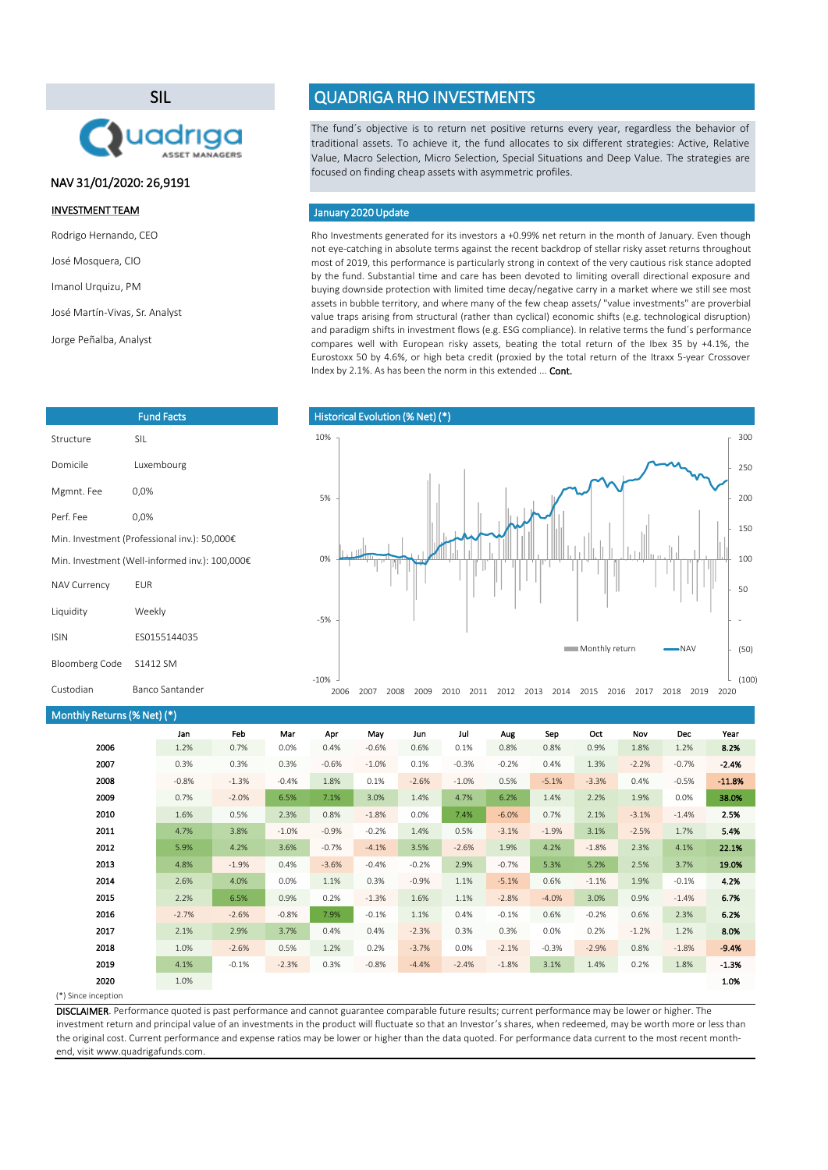#### (\*) Since inception

Rho Investments generated for its investors a +0.99% net return in the month of January. Even though not eye-catching in absolute terms against the recent backdrop of stellar risky asset returns throughout most of 2019, this performance is particularly strong in context of the very cautious risk stance adopted by the fund. Substantial time and care has been devoted to limiting overall directional exposure and buying downside protection with limited time decay/negative carry in a market where we still see most assets in bubble territory, and where many of the few cheap assets/ "value investments" are proverbial value traps arising from structural (rather than cyclical) economic shifts (e.g. technological disruption) and paradigm shifts in investment flows (e.g. ESG compliance). In relative terms the fund´s performance compares well with European risky assets, beating the total return of the Ibex 35 by +4.1%, the Eurostoxx 50 by 4.6%, or high beta credit (proxied by the total return of the Itraxx 5-year Crossover Index by 2.1%. As has been the norm in this extended ... Cont.

| Monthly Returns (% Net) (*) |         |         |         |         |         |         |          |         |         |         |         |         |          |
|-----------------------------|---------|---------|---------|---------|---------|---------|----------|---------|---------|---------|---------|---------|----------|
|                             | Jan     | Feb     | Mar     | Apr     | May     | Jun     | Jul      | Aug     | Sep     | Oct     | Nov     | Dec     | Year     |
| 2006                        | 1.2%    | 0.7%    | 0.0%    | 0.4%    | $-0.6%$ | 0.6%    | 0.1%     | 0.8%    | 0.8%    | 0.9%    | 1.8%    | 1.2%    | 8.2%     |
| 2007                        | 0.3%    | 0.3%    | 0.3%    | $-0.6%$ | $-1.0%$ | 0.1%    | $-0.3%$  | $-0.2%$ | 0.4%    | 1.3%    | $-2.2%$ | $-0.7%$ | $-2.4%$  |
| 2008                        | $-0.8%$ | $-1.3%$ | $-0.4%$ | 1.8%    | 0.1%    | $-2.6%$ | $-1.0\%$ | 0.5%    | $-5.1%$ | $-3.3%$ | 0.4%    | $-0.5%$ | $-11.8%$ |
| 2009                        | 0.7%    | $-2.0%$ | 6.5%    | 7.1%    | 3.0%    | 1.4%    | 4.7%     | 6.2%    | 1.4%    | 2.2%    | 1.9%    | 0.0%    | 38.0%    |
| 2010                        | 1.6%    | 0.5%    | 2.3%    | 0.8%    | $-1.8%$ | 0.0%    | 7.4%     | $-6.0%$ | 0.7%    | 2.1%    | $-3.1%$ | $-1.4%$ | 2.5%     |
| 2011                        | 4.7%    | 3.8%    | $-1.0%$ | $-0.9%$ | $-0.2%$ | 1.4%    | 0.5%     | $-3.1%$ | $-1.9%$ | 3.1%    | $-2.5%$ | 1.7%    | 5.4%     |
| 2012                        | 5.9%    | 4.2%    | 3.6%    | $-0.7%$ | $-4.1%$ | 3.5%    | $-2.6%$  | 1.9%    | 4.2%    | $-1.8%$ | 2.3%    | 4.1%    | 22.1%    |
| 2013                        | 4.8%    | $-1.9%$ | 0.4%    | $-3.6%$ | $-0.4%$ | $-0.2%$ | 2.9%     | $-0.7%$ | 5.3%    | 5.2%    | 2.5%    | 3.7%    | 19.0%    |
| 2014                        | 2.6%    | 4.0%    | 0.0%    | 1.1%    | 0.3%    | $-0.9%$ | 1.1%     | $-5.1%$ | 0.6%    | $-1.1%$ | 1.9%    | $-0.1%$ | 4.2%     |
| 2015                        | 2.2%    | 6.5%    | 0.9%    | 0.2%    | $-1.3%$ | 1.6%    | 1.1%     | $-2.8%$ | $-4.0%$ | 3.0%    | 0.9%    | $-1.4%$ | 6.7%     |
| 2016                        | $-2.7%$ | $-2.6%$ | $-0.8%$ | 7.9%    | $-0.1%$ | 1.1%    | 0.4%     | $-0.1%$ | 0.6%    | $-0.2%$ | 0.6%    | 2.3%    | 6.2%     |
| 2017                        | 2.1%    | 2.9%    | 3.7%    | 0.4%    | 0.4%    | $-2.3%$ | 0.3%     | 0.3%    | 0.0%    | 0.2%    | $-1.2%$ | 1.2%    | 8.0%     |
| 2018                        | 1.0%    | $-2.6%$ | 0.5%    | 1.2%    | 0.2%    | $-3.7%$ | 0.0%     | $-2.1%$ | $-0.3%$ | $-2.9%$ | 0.8%    | $-1.8%$ | $-9.4%$  |
| 2019                        | 4.1%    | $-0.1%$ | $-2.3%$ | 0.3%    | $-0.8%$ | $-4.4%$ | $-2.4%$  | $-1.8%$ | 3.1%    | 1.4%    | 0.2%    | 1.8%    | $-1.3%$  |
| 2020                        | 1.0%    |         |         |         |         |         |          |         |         |         |         |         | 1.0%     |
| $1 + 1 - 1$                 |         |         |         |         |         |         |          |         |         |         |         |         |          |

The fund´s objective is to return net positive returns every year, regardless the behavior of traditional assets. To achieve it, the fund allocates to six different strategies: Active, Relative Value, Macro Selection, Micro Selection, Special Situations and Deep Value. The strategies are focused on finding cheap assets with asymmetric profiles.

### January 2020 Update

DISCLAIMER. Performance quoted is past performance and cannot guarantee comparable future results; current performance may be lower or higher. The investment return and principal value of an investments in the product will fluctuate so that an Investor's shares, when redeemed, may be worth more or less than the original cost. Current performance and expense ratios may be lower or higher than the data quoted. For performance data current to the most recent monthend, visit www.quadrigafunds.com.

### INVESTMENT TEAM

Rodrigo Hernando, CEO

José Mosquera, CIO

Imanol Urquizu, PM

José Martín-Vivas, Sr. Analyst

Jorge Peñalba, Analyst

# SIL



|  |  | <b>QUADRIGA RHO INVESTMENTS</b> |
|--|--|---------------------------------|

|                     | <b>Fund Facts</b>                              |
|---------------------|------------------------------------------------|
| Structure           | SIL                                            |
| Domicile            | Luxembourg                                     |
| Mgmnt. Fee          | 0,0%                                           |
| Perf. Fee           | 0,0%                                           |
|                     | Min. Investment (Professional inv.): 50,000€   |
|                     | Min. Investment (Well-informed inv.): 100,000€ |
| <b>NAV Currency</b> | <b>EUR</b>                                     |
| Liquidity           | Weekly                                         |
| <b>ISIN</b>         | ES0155144035                                   |
| Bloomberg Code      | S1412 SM                                       |

# NAV 31/01/2020: 26,9191



-10%

| Custodian | <b>Banco Sant</b> |
|-----------|-------------------|
|           |                   |

ander

2006 2007 2008 2009 2010 2011 2012 2013 2014 2015 2016 2017 2018 2019 2020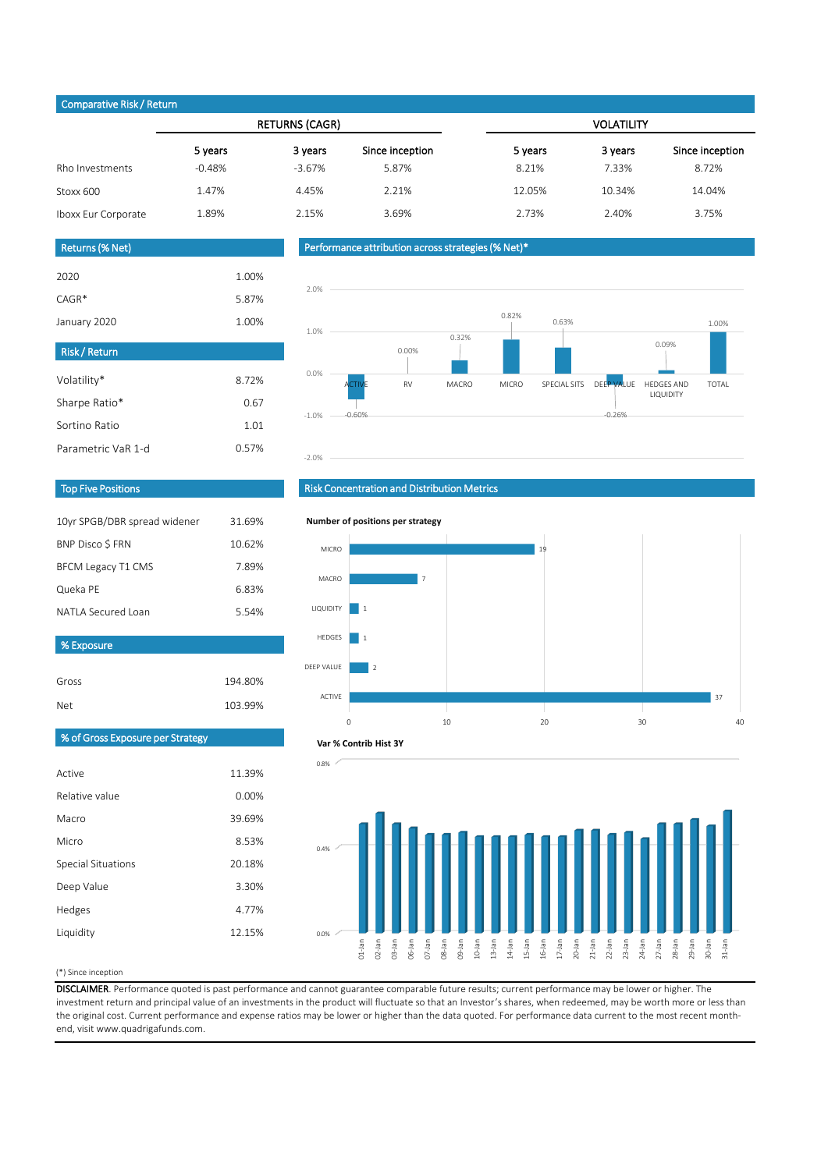### (\*) Since inception

|                     |          | <b>RETURNS (CAGR)</b> |                 | <b>VOLATILITY</b> |         |                 |  |
|---------------------|----------|-----------------------|-----------------|-------------------|---------|-----------------|--|
|                     | 5 years  | 3 years               | Since inception | 5 years           | 3 years | Since inception |  |
| Rho Investments     | $-0.48%$ | $-3.67%$              | 5.87%           | 8.21%             | 7.33%   | 8.72%           |  |
| Stoxx 600           | 1.47%    | 4.45%                 | 2.21%           | 12.05%            | 10.34%  | 14.04%          |  |
| Iboxx Eur Corporate | 1.89%    | 2.15%                 | 3.69%           | 2.73%             | 2.40%   | 3.75%           |  |

| 2020         | 1.00% |
|--------------|-------|
| $CAGR*$      | 5.87% |
| January 2020 | 1.00% |

| 10yr SPGB/DBR spread widener | 31.69% |
|------------------------------|--------|
| BNP Disco \$ FRN             | 10.62% |
| <b>BFCM Legacy T1 CMS</b>    | 7.89%  |
| Queka PE                     | 6.83%  |
| NATI A Secured Loan          | 5.54%  |
|                              |        |

Gross 194.80%

| <b>Risk/Return</b> |       |
|--------------------|-------|
| Volatility*        | 8.72% |
| Sharpe Ratio*      | 0.67  |
| Sortino Ratio      | 1.01  |
| Parametric VaR 1-d | 0.57% |

| <b>Net</b>                       | 103.99% |
|----------------------------------|---------|
| % of Gross Exposure per Strategy |         |
|                                  |         |
| Active                           | 11.39%  |
| Relative value                   | 0.00%   |
| Macro                            | 39.69%  |
| Micro                            | 8.53%   |
| <b>Special Situations</b>        | 20.18%  |
| Deep Value                       | 3.30%   |
| Hedges                           | 4.77%   |
| Liquidity                        | 12.15%  |
|                                  |         |

DISCLAIMER. Performance quoted is past performance and cannot guarantee comparable future results; current performance may be lower or higher. The investment return and principal value of an investments in the product will fluctuate so that an Investor's shares, when redeemed, may be worth more or less than the original cost. Current performance and expense ratios may be lower or higher than the data quoted. For performance data current to the most recent monthend, visit www.quadrigafunds.com.

## Returns (% Net)

# Top Five Positions

# Risk Concentration and Distribution Metrics

### Performance attribution across strategies (% Net)\*

### Comparative Risk / Return

% Exposure





### **Number of positions per strategy**



### **Var % Contrib Hist 3Y**